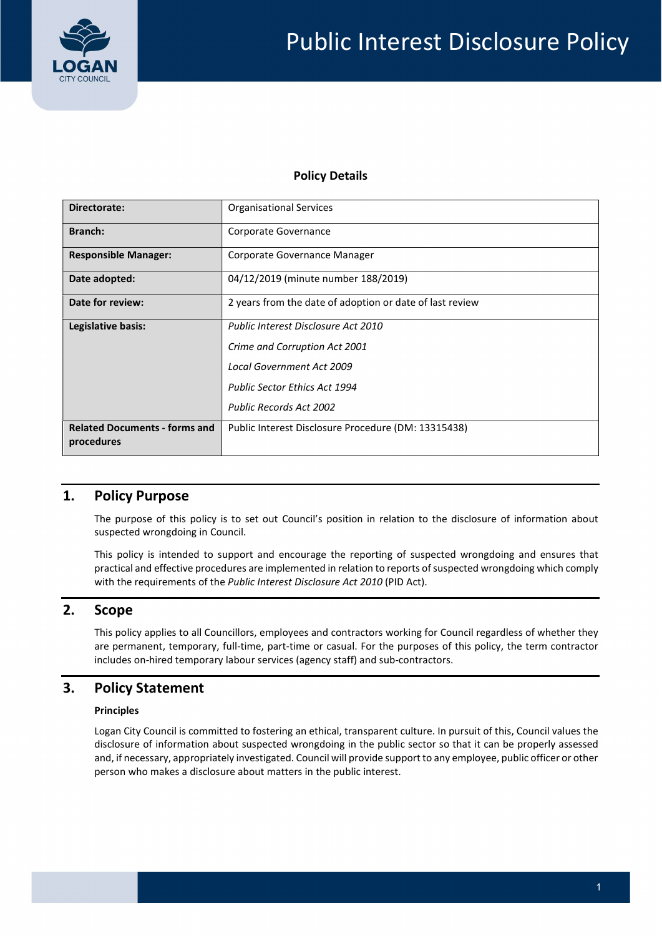

### Policy Details

| Directorate:                                       | <b>Organisational Services</b>                           |  |  |
|----------------------------------------------------|----------------------------------------------------------|--|--|
| <b>Branch:</b>                                     | Corporate Governance                                     |  |  |
| <b>Responsible Manager:</b>                        | Corporate Governance Manager                             |  |  |
| Date adopted:                                      | 04/12/2019 (minute number 188/2019)                      |  |  |
| Date for review:                                   | 2 years from the date of adoption or date of last review |  |  |
| Legislative basis:                                 | Public Interest Disclosure Act 2010                      |  |  |
|                                                    | Crime and Corruption Act 2001                            |  |  |
|                                                    | <b>Local Government Act 2009</b>                         |  |  |
|                                                    | <b>Public Sector Ethics Act 1994</b>                     |  |  |
|                                                    | <b>Public Records Act 2002</b>                           |  |  |
| <b>Related Documents - forms and</b><br>procedures | Public Interest Disclosure Procedure (DM: 13315438)      |  |  |

# 1. Policy Purpose

 The purpose of this policy is to set out Council's position in relation to the disclosure of information about suspected wrongdoing in Council.

 This policy is intended to support and encourage the reporting of suspected wrongdoing and ensures that practical and effective procedures are implemented in relation to reports of suspected wrongdoing which comply with the requirements of the Public Interest Disclosure Act 2010 (PID Act).

### 2. Scope

 This policy applies to all Councillors, employees and contractors working for Council regardless of whether they are permanent, temporary, full-time, part-time or casual. For the purposes of this policy, the term contractor includes on-hired temporary labour services (agency staff) and sub-contractors.

# 3. Policy Statement

### Principles

 Logan City Council is committed to fostering an ethical, transparent culture. In pursuit of this, Council values the disclosure of information about suspected wrongdoing in the public sector so that it can be properly assessed and, if necessary, appropriately investigated. Council will provide support to any employee, public officer or other person who makes a disclosure about matters in the public interest.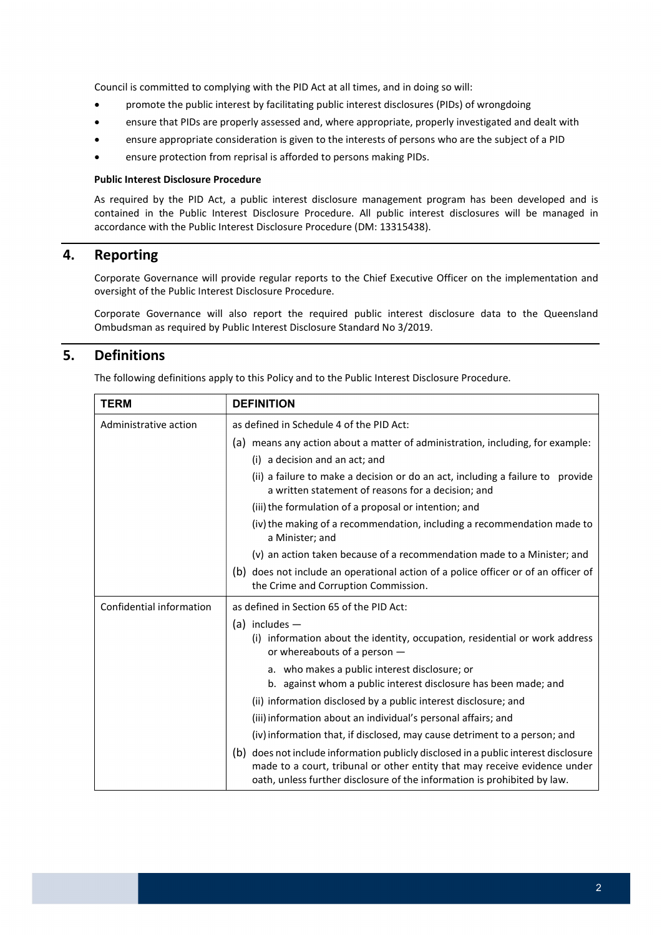Council is committed to complying with the PID Act at all times, and in doing so will:

- promote the public interest by facilitating public interest disclosures (PIDs) of wrongdoing
- ensure that PIDs are properly assessed and, where appropriate, properly investigated and dealt with
- ensure appropriate consideration is given to the interests of persons who are the subject of a PID
- ensure protection from reprisal is afforded to persons making PIDs.

#### Public Interest Disclosure Procedure

 As required by the PID Act, a public interest disclosure management program has been developed and is contained in the Public Interest Disclosure Procedure. All public interest disclosures will be managed in accordance with the Public Interest Disclosure Procedure (DM: 13315438).

# 4. Reporting

 Corporate Governance will provide regular reports to the Chief Executive Officer on the implementation and oversight of the Public Interest Disclosure Procedure.

 Corporate Governance will also report the required public interest disclosure data to the Queensland Ombudsman as required by Public Interest Disclosure Standard No 3/2019.

### 5. Definitions

The following definitions apply to this Policy and to the Public Interest Disclosure Procedure.

| <b>TERM</b>              | <b>DEFINITION</b>                                                                                                                                                                                                                            |  |  |
|--------------------------|----------------------------------------------------------------------------------------------------------------------------------------------------------------------------------------------------------------------------------------------|--|--|
| Administrative action    | as defined in Schedule 4 of the PID Act:                                                                                                                                                                                                     |  |  |
|                          | (a) means any action about a matter of administration, including, for example:                                                                                                                                                               |  |  |
|                          | (i) a decision and an act; and                                                                                                                                                                                                               |  |  |
|                          | (ii) a failure to make a decision or do an act, including a failure to provide<br>a written statement of reasons for a decision; and                                                                                                         |  |  |
|                          | (iii) the formulation of a proposal or intention; and                                                                                                                                                                                        |  |  |
|                          | (iv) the making of a recommendation, including a recommendation made to<br>a Minister; and                                                                                                                                                   |  |  |
|                          | (v) an action taken because of a recommendation made to a Minister; and                                                                                                                                                                      |  |  |
|                          | (b) does not include an operational action of a police officer or of an officer of<br>the Crime and Corruption Commission.                                                                                                                   |  |  |
| Confidential information | as defined in Section 65 of the PID Act:                                                                                                                                                                                                     |  |  |
|                          | $(a)$ includes $-$                                                                                                                                                                                                                           |  |  |
|                          | (i) information about the identity, occupation, residential or work address<br>or whereabouts of a person -                                                                                                                                  |  |  |
|                          | a. who makes a public interest disclosure; or                                                                                                                                                                                                |  |  |
|                          | b. against whom a public interest disclosure has been made; and                                                                                                                                                                              |  |  |
|                          | (ii) information disclosed by a public interest disclosure; and                                                                                                                                                                              |  |  |
|                          | (iii) information about an individual's personal affairs; and                                                                                                                                                                                |  |  |
|                          | (iv) information that, if disclosed, may cause detriment to a person; and                                                                                                                                                                    |  |  |
|                          | (b) does not include information publicly disclosed in a public interest disclosure<br>made to a court, tribunal or other entity that may receive evidence under<br>oath, unless further disclosure of the information is prohibited by law. |  |  |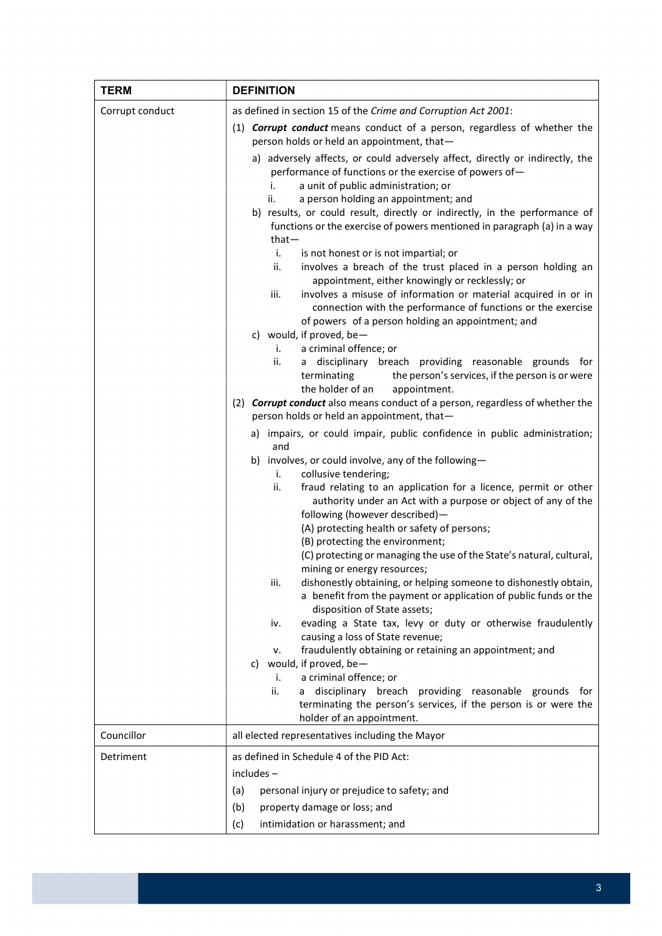| <b>TERM</b>     | <b>DEFINITION</b>                                                                                                                                                                                                                                                                                                                                                                                                                                                                                                                                                                                                                                                                                                                                                                                                                                                                                                                                                                                                                                                                                                                                                                                                                                                                                                                                                                                                                                                                                                                                                                                                                                                                                                                                                                                                                                                                                                                                     |  |  |
|-----------------|-------------------------------------------------------------------------------------------------------------------------------------------------------------------------------------------------------------------------------------------------------------------------------------------------------------------------------------------------------------------------------------------------------------------------------------------------------------------------------------------------------------------------------------------------------------------------------------------------------------------------------------------------------------------------------------------------------------------------------------------------------------------------------------------------------------------------------------------------------------------------------------------------------------------------------------------------------------------------------------------------------------------------------------------------------------------------------------------------------------------------------------------------------------------------------------------------------------------------------------------------------------------------------------------------------------------------------------------------------------------------------------------------------------------------------------------------------------------------------------------------------------------------------------------------------------------------------------------------------------------------------------------------------------------------------------------------------------------------------------------------------------------------------------------------------------------------------------------------------------------------------------------------------------------------------------------------------|--|--|
| Corrupt conduct | as defined in section 15 of the Crime and Corruption Act 2001:                                                                                                                                                                                                                                                                                                                                                                                                                                                                                                                                                                                                                                                                                                                                                                                                                                                                                                                                                                                                                                                                                                                                                                                                                                                                                                                                                                                                                                                                                                                                                                                                                                                                                                                                                                                                                                                                                        |  |  |
|                 | (1) <b>Corrupt conduct</b> means conduct of a person, regardless of whether the<br>person holds or held an appointment, that-                                                                                                                                                                                                                                                                                                                                                                                                                                                                                                                                                                                                                                                                                                                                                                                                                                                                                                                                                                                                                                                                                                                                                                                                                                                                                                                                                                                                                                                                                                                                                                                                                                                                                                                                                                                                                         |  |  |
|                 | a) adversely affects, or could adversely affect, directly or indirectly, the<br>performance of functions or the exercise of powers of-<br>a unit of public administration; or<br>i.<br>a person holding an appointment; and<br>ii.<br>b) results, or could result, directly or indirectly, in the performance of<br>functions or the exercise of powers mentioned in paragraph (a) in a way<br>$that-$<br>i.<br>is not honest or is not impartial; or<br>ii.<br>involves a breach of the trust placed in a person holding an<br>appointment, either knowingly or recklessly; or<br>involves a misuse of information or material acquired in or in<br>iii.<br>connection with the performance of functions or the exercise<br>of powers of a person holding an appointment; and<br>c) would, if proved, be-<br>a criminal offence; or<br>i.<br>a disciplinary breach providing reasonable grounds for<br>ii.<br>terminating<br>the person's services, if the person is or were<br>the holder of an<br>appointment.<br>(2) Corrupt conduct also means conduct of a person, regardless of whether the<br>person holds or held an appointment, that-<br>a) impairs, or could impair, public confidence in public administration;<br>and<br>b) involves, or could involve, any of the following-<br>collusive tendering;<br>i.<br>ii.<br>fraud relating to an application for a licence, permit or other<br>authority under an Act with a purpose or object of any of the<br>following (however described)-<br>(A) protecting health or safety of persons;<br>(B) protecting the environment;<br>(C) protecting or managing the use of the State's natural, cultural,<br>mining or energy resources;<br>dishonestly obtaining, or helping someone to dishonestly obtain,<br>iii.<br>a benefit from the payment or application of public funds or the<br>disposition of State assets;<br>evading a State tax, levy or duty or otherwise fraudulently<br>iv. |  |  |
|                 | causing a loss of State revenue;<br>fraudulently obtaining or retaining an appointment; and<br>ν.<br>would, if proved, be-<br>C)                                                                                                                                                                                                                                                                                                                                                                                                                                                                                                                                                                                                                                                                                                                                                                                                                                                                                                                                                                                                                                                                                                                                                                                                                                                                                                                                                                                                                                                                                                                                                                                                                                                                                                                                                                                                                      |  |  |
|                 | a criminal offence; or<br>i.<br>disciplinary breach providing reasonable grounds for<br>ii.<br>a                                                                                                                                                                                                                                                                                                                                                                                                                                                                                                                                                                                                                                                                                                                                                                                                                                                                                                                                                                                                                                                                                                                                                                                                                                                                                                                                                                                                                                                                                                                                                                                                                                                                                                                                                                                                                                                      |  |  |
|                 | terminating the person's services, if the person is or were the<br>holder of an appointment.                                                                                                                                                                                                                                                                                                                                                                                                                                                                                                                                                                                                                                                                                                                                                                                                                                                                                                                                                                                                                                                                                                                                                                                                                                                                                                                                                                                                                                                                                                                                                                                                                                                                                                                                                                                                                                                          |  |  |
| Councillor      | all elected representatives including the Mayor                                                                                                                                                                                                                                                                                                                                                                                                                                                                                                                                                                                                                                                                                                                                                                                                                                                                                                                                                                                                                                                                                                                                                                                                                                                                                                                                                                                                                                                                                                                                                                                                                                                                                                                                                                                                                                                                                                       |  |  |
| Detriment       | as defined in Schedule 4 of the PID Act:                                                                                                                                                                                                                                                                                                                                                                                                                                                                                                                                                                                                                                                                                                                                                                                                                                                                                                                                                                                                                                                                                                                                                                                                                                                                                                                                                                                                                                                                                                                                                                                                                                                                                                                                                                                                                                                                                                              |  |  |
|                 | includes-                                                                                                                                                                                                                                                                                                                                                                                                                                                                                                                                                                                                                                                                                                                                                                                                                                                                                                                                                                                                                                                                                                                                                                                                                                                                                                                                                                                                                                                                                                                                                                                                                                                                                                                                                                                                                                                                                                                                             |  |  |
|                 | personal injury or prejudice to safety; and<br>(a)                                                                                                                                                                                                                                                                                                                                                                                                                                                                                                                                                                                                                                                                                                                                                                                                                                                                                                                                                                                                                                                                                                                                                                                                                                                                                                                                                                                                                                                                                                                                                                                                                                                                                                                                                                                                                                                                                                    |  |  |
|                 | (b)<br>property damage or loss; and                                                                                                                                                                                                                                                                                                                                                                                                                                                                                                                                                                                                                                                                                                                                                                                                                                                                                                                                                                                                                                                                                                                                                                                                                                                                                                                                                                                                                                                                                                                                                                                                                                                                                                                                                                                                                                                                                                                   |  |  |
|                 | intimidation or harassment; and<br>(c)                                                                                                                                                                                                                                                                                                                                                                                                                                                                                                                                                                                                                                                                                                                                                                                                                                                                                                                                                                                                                                                                                                                                                                                                                                                                                                                                                                                                                                                                                                                                                                                                                                                                                                                                                                                                                                                                                                                |  |  |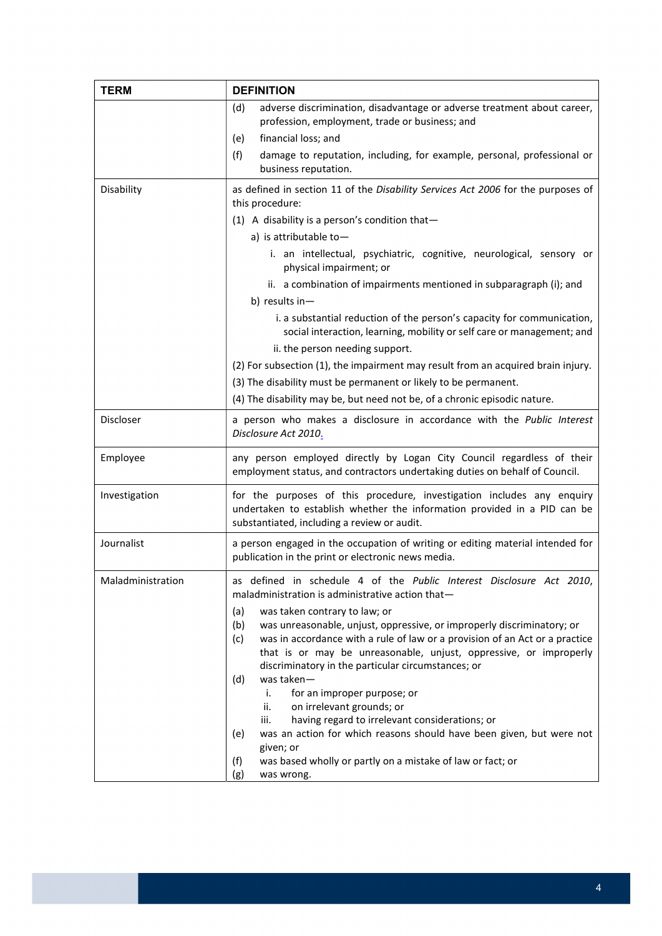| <b>TERM</b>       | <b>DEFINITION</b>                                                                                                                                                                                                                                                                                                                                           |  |  |  |  |
|-------------------|-------------------------------------------------------------------------------------------------------------------------------------------------------------------------------------------------------------------------------------------------------------------------------------------------------------------------------------------------------------|--|--|--|--|
|                   | adverse discrimination, disadvantage or adverse treatment about career,<br>(d)<br>profession, employment, trade or business; and<br>financial loss; and<br>(e)                                                                                                                                                                                              |  |  |  |  |
|                   | (f)<br>damage to reputation, including, for example, personal, professional or<br>business reputation.                                                                                                                                                                                                                                                      |  |  |  |  |
| Disability        | as defined in section 11 of the Disability Services Act 2006 for the purposes of<br>this procedure:                                                                                                                                                                                                                                                         |  |  |  |  |
|                   | $(1)$ A disability is a person's condition that-                                                                                                                                                                                                                                                                                                            |  |  |  |  |
|                   | a) is attributable to $-$                                                                                                                                                                                                                                                                                                                                   |  |  |  |  |
|                   | i. an intellectual, psychiatric, cognitive, neurological, sensory or<br>physical impairment; or                                                                                                                                                                                                                                                             |  |  |  |  |
|                   | ii. a combination of impairments mentioned in subparagraph (i); and                                                                                                                                                                                                                                                                                         |  |  |  |  |
|                   | b) results in-                                                                                                                                                                                                                                                                                                                                              |  |  |  |  |
|                   | i. a substantial reduction of the person's capacity for communication,<br>social interaction, learning, mobility or self care or management; and                                                                                                                                                                                                            |  |  |  |  |
|                   | ii. the person needing support.                                                                                                                                                                                                                                                                                                                             |  |  |  |  |
|                   | (2) For subsection (1), the impairment may result from an acquired brain injury.                                                                                                                                                                                                                                                                            |  |  |  |  |
|                   | (3) The disability must be permanent or likely to be permanent.                                                                                                                                                                                                                                                                                             |  |  |  |  |
|                   | (4) The disability may be, but need not be, of a chronic episodic nature.                                                                                                                                                                                                                                                                                   |  |  |  |  |
| Discloser         | a person who makes a disclosure in accordance with the Public Interest<br>Disclosure Act 2010.                                                                                                                                                                                                                                                              |  |  |  |  |
| Employee          | any person employed directly by Logan City Council regardless of their<br>employment status, and contractors undertaking duties on behalf of Council.                                                                                                                                                                                                       |  |  |  |  |
| Investigation     | for the purposes of this procedure, investigation includes any enquiry<br>undertaken to establish whether the information provided in a PID can be<br>substantiated, including a review or audit.                                                                                                                                                           |  |  |  |  |
| Journalist        | a person engaged in the occupation of writing or editing material intended for<br>publication in the print or electronic news media.                                                                                                                                                                                                                        |  |  |  |  |
| Maladministration | defined in schedule 4 of the Public Interest Disclosure Act 2010,<br>maladministration is administrative action that-                                                                                                                                                                                                                                       |  |  |  |  |
|                   | (a)<br>was taken contrary to law; or<br>was unreasonable, unjust, oppressive, or improperly discriminatory; or<br>(b)<br>was in accordance with a rule of law or a provision of an Act or a practice<br>(c)<br>that is or may be unreasonable, unjust, oppressive, or improperly<br>discriminatory in the particular circumstances; or<br>was taken-<br>(d) |  |  |  |  |
|                   | for an improper purpose; or<br>i.                                                                                                                                                                                                                                                                                                                           |  |  |  |  |
|                   | ii.<br>on irrelevant grounds; or<br>iii.<br>having regard to irrelevant considerations; or<br>was an action for which reasons should have been given, but were not<br>(e)                                                                                                                                                                                   |  |  |  |  |
|                   |                                                                                                                                                                                                                                                                                                                                                             |  |  |  |  |
|                   | given; or                                                                                                                                                                                                                                                                                                                                                   |  |  |  |  |
|                   | was based wholly or partly on a mistake of law or fact; or<br>(f)                                                                                                                                                                                                                                                                                           |  |  |  |  |
|                   | (g)<br>was wrong.                                                                                                                                                                                                                                                                                                                                           |  |  |  |  |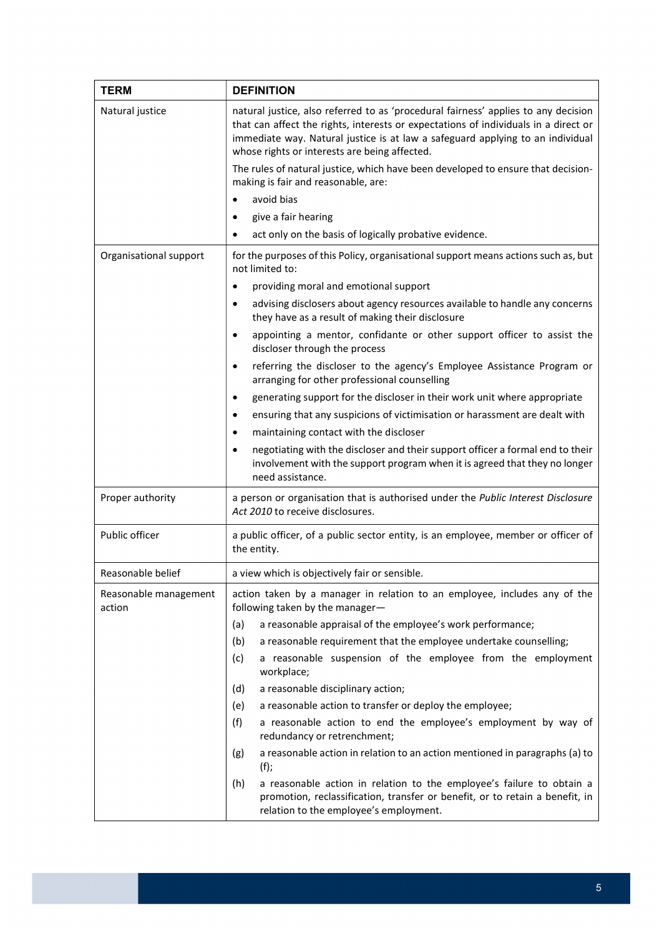| <b>TERM</b>                     | <b>DEFINITION</b>                                                                                                                                                                                                                                                                                                                                                                                                                                     |  |  |  |
|---------------------------------|-------------------------------------------------------------------------------------------------------------------------------------------------------------------------------------------------------------------------------------------------------------------------------------------------------------------------------------------------------------------------------------------------------------------------------------------------------|--|--|--|
| Natural justice                 | natural justice, also referred to as 'procedural fairness' applies to any decision<br>that can affect the rights, interests or expectations of individuals in a direct or<br>immediate way. Natural justice is at law a safeguard applying to an individual<br>whose rights or interests are being affected.<br>The rules of natural justice, which have been developed to ensure that decision-<br>making is fair and reasonable, are:<br>avoid bias |  |  |  |
|                                 | give a fair hearing<br>$\bullet$                                                                                                                                                                                                                                                                                                                                                                                                                      |  |  |  |
|                                 | act only on the basis of logically probative evidence.                                                                                                                                                                                                                                                                                                                                                                                                |  |  |  |
| Organisational support          | for the purposes of this Policy, organisational support means actions such as, but<br>not limited to:                                                                                                                                                                                                                                                                                                                                                 |  |  |  |
|                                 | providing moral and emotional support<br>$\bullet$                                                                                                                                                                                                                                                                                                                                                                                                    |  |  |  |
|                                 | advising disclosers about agency resources available to handle any concerns<br>$\bullet$<br>they have as a result of making their disclosure                                                                                                                                                                                                                                                                                                          |  |  |  |
|                                 | appointing a mentor, confidante or other support officer to assist the<br>$\bullet$<br>discloser through the process                                                                                                                                                                                                                                                                                                                                  |  |  |  |
|                                 | referring the discloser to the agency's Employee Assistance Program or<br>$\bullet$<br>arranging for other professional counselling                                                                                                                                                                                                                                                                                                                   |  |  |  |
|                                 | generating support for the discloser in their work unit where appropriate<br>$\bullet$                                                                                                                                                                                                                                                                                                                                                                |  |  |  |
|                                 | ensuring that any suspicions of victimisation or harassment are dealt with<br>$\bullet$                                                                                                                                                                                                                                                                                                                                                               |  |  |  |
|                                 | maintaining contact with the discloser<br>$\bullet$                                                                                                                                                                                                                                                                                                                                                                                                   |  |  |  |
|                                 | negotiating with the discloser and their support officer a formal end to their<br>$\bullet$<br>involvement with the support program when it is agreed that they no longer<br>need assistance.                                                                                                                                                                                                                                                         |  |  |  |
| Proper authority                | a person or organisation that is authorised under the Public Interest Disclosure<br>Act 2010 to receive disclosures.                                                                                                                                                                                                                                                                                                                                  |  |  |  |
| Public officer                  | a public officer, of a public sector entity, is an employee, member or officer of<br>the entity.                                                                                                                                                                                                                                                                                                                                                      |  |  |  |
| Reasonable belief               | a view which is objectively fair or sensible.                                                                                                                                                                                                                                                                                                                                                                                                         |  |  |  |
| Reasonable management<br>action | action taken by a manager in relation to an employee, includes any of the<br>following taken by the manager-                                                                                                                                                                                                                                                                                                                                          |  |  |  |
|                                 | (a)<br>a reasonable appraisal of the employee's work performance;                                                                                                                                                                                                                                                                                                                                                                                     |  |  |  |
|                                 | (b)<br>a reasonable requirement that the employee undertake counselling;                                                                                                                                                                                                                                                                                                                                                                              |  |  |  |
|                                 | a reasonable suspension of the employee from the employment<br>(c)<br>workplace;                                                                                                                                                                                                                                                                                                                                                                      |  |  |  |
|                                 | a reasonable disciplinary action;<br>(d)                                                                                                                                                                                                                                                                                                                                                                                                              |  |  |  |
|                                 | (e)<br>a reasonable action to transfer or deploy the employee;                                                                                                                                                                                                                                                                                                                                                                                        |  |  |  |
|                                 | (f)<br>a reasonable action to end the employee's employment by way of<br>redundancy or retrenchment;                                                                                                                                                                                                                                                                                                                                                  |  |  |  |
|                                 | a reasonable action in relation to an action mentioned in paragraphs (a) to<br>(g)<br>$(f)$ ;                                                                                                                                                                                                                                                                                                                                                         |  |  |  |
|                                 | a reasonable action in relation to the employee's failure to obtain a<br>(h)<br>promotion, reclassification, transfer or benefit, or to retain a benefit, in<br>relation to the employee's employment.                                                                                                                                                                                                                                                |  |  |  |